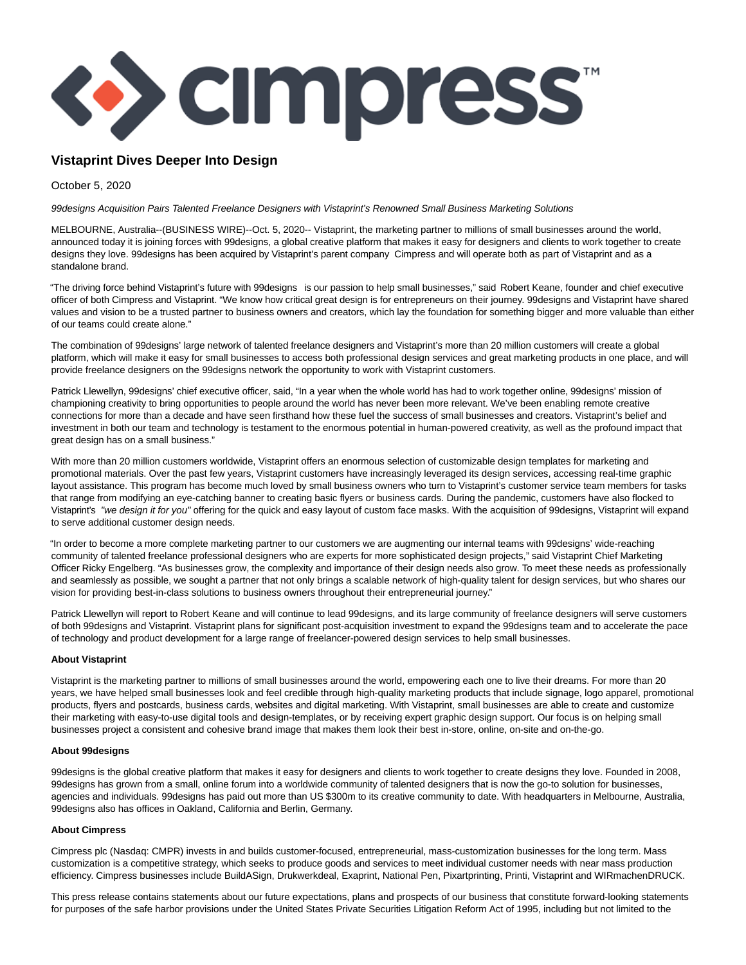

## **Vistaprint Dives Deeper Into Design**

October 5, 2020

99designs Acquisition Pairs Talented Freelance Designers with Vistaprint's Renowned Small Business Marketing Solutions

MELBOURNE, Australia--(BUSINESS WIRE)--Oct. 5, 2020-- Vistaprint, the marketing partner to millions of small businesses around the world, announced today it is joining forces with 99designs, a global creative platform that makes it easy for designers and clients to work together to create designs they love. 99designs has been acquired by Vistaprint's parent company Cimpress and will operate both as part of Vistaprint and as a standalone brand.

"The driving force behind Vistaprint's future with 99designs is our passion to help small businesses," said Robert Keane, founder and chief executive officer of both Cimpress and Vistaprint. "We know how critical great design is for entrepreneurs on their journey. 99designs and Vistaprint have shared values and vision to be a trusted partner to business owners and creators, which lay the foundation for something bigger and more valuable than either of our teams could create alone."

The combination of 99designs' large network of talented freelance designers and Vistaprint's more than 20 million customers will create a global platform, which will make it easy for small businesses to access both professional design services and great marketing products in one place, and will provide freelance designers on the 99designs network the opportunity to work with Vistaprint customers.

Patrick Llewellyn, 99designs' chief executive officer, said, "In a year when the whole world has had to work together online, 99designs' mission of championing creativity to bring opportunities to people around the world has never been more relevant. We've been enabling remote creative connections for more than a decade and have seen firsthand how these fuel the success of small businesses and creators. Vistaprint's belief and investment in both our team and technology is testament to the enormous potential in human-powered creativity, as well as the profound impact that great design has on a small business."

With more than 20 million customers worldwide, Vistaprint offers an enormous selection of customizable design templates for marketing and promotional materials. Over the past few years, Vistaprint customers have increasingly leveraged its design services, accessing real-time graphic layout assistance. This program has become much loved by small business owners who turn to Vistaprint's customer service team members for tasks that range from modifying an eye-catching banner to creating basic flyers or business cards. During the pandemic, customers have also flocked to Vistaprint's "we design it for you" offering for the quick and easy layout of custom face masks. With the acquisition of 99designs, Vistaprint will expand to serve additional customer design needs.

"In order to become a more complete marketing partner to our customers we are augmenting our internal teams with 99designs' wide-reaching community of talented freelance professional designers who are experts for more sophisticated design projects," said Vistaprint Chief Marketing Officer Ricky Engelberg. "As businesses grow, the complexity and importance of their design needs also grow. To meet these needs as professionally and seamlessly as possible, we sought a partner that not only brings a scalable network of high-quality talent for design services, but who shares our vision for providing best-in-class solutions to business owners throughout their entrepreneurial journey."

Patrick Llewellyn will report to Robert Keane and will continue to lead 99designs, and its large community of freelance designers will serve customers of both 99designs and Vistaprint. Vistaprint plans for significant post-acquisition investment to expand the 99designs team and to accelerate the pace of technology and product development for a large range of freelancer-powered design services to help small businesses.

## **About Vistaprint**

Vistaprint is the marketing partner to millions of small businesses around the world, empowering each one to live their dreams. For more than 20 years, we have helped small businesses look and feel credible through high-quality marketing products that include signage, logo apparel, promotional products, flyers and postcards, business cards, websites and digital marketing. With Vistaprint, small businesses are able to create and customize their marketing with easy-to-use digital tools and design-templates, or by receiving expert graphic design support. Our focus is on helping small businesses project a consistent and cohesive brand image that makes them look their best in-store, online, on-site and on-the-go.

## **About 99designs**

99designs is the global creative platform that makes it easy for designers and clients to work together to create designs they love. Founded in 2008, 99designs has grown from a small, online forum into a worldwide community of talented designers that is now the go-to solution for businesses, agencies and individuals. 99designs has paid out more than US \$300m to its creative community to date. With headquarters in Melbourne, Australia, 99designs also has offices in Oakland, California and Berlin, Germany.

## **About Cimpress**

Cimpress plc (Nasdaq: CMPR) invests in and builds customer-focused, entrepreneurial, mass-customization businesses for the long term. Mass customization is a competitive strategy, which seeks to produce goods and services to meet individual customer needs with near mass production efficiency. Cimpress businesses include BuildASign, Drukwerkdeal, Exaprint, National Pen, Pixartprinting, Printi, Vistaprint and WIRmachenDRUCK.

This press release contains statements about our future expectations, plans and prospects of our business that constitute forward-looking statements for purposes of the safe harbor provisions under the United States Private Securities Litigation Reform Act of 1995, including but not limited to the